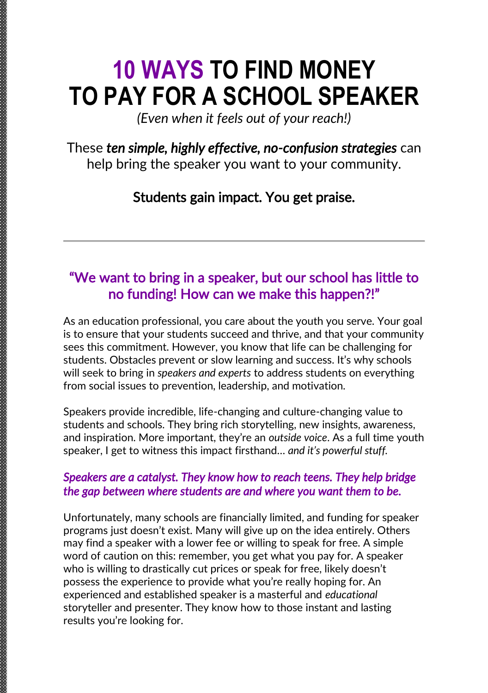# **10 WAYS TO FIND MONEY TO PAY FOR A SCHOOL SPEAKER**

*(Even when it feels out of your reach!)*

## These *ten simple, highly effective, no-confusion strategies* can help bring the speaker you want to your community.

# Students gain impact. You get praise.

# "We want to bring in a speaker, but our school has little to no funding! How can we make this happen?!"

As an education professional, you care about the youth you serve. Your goal is to ensure that your students succeed and thrive, and that your community sees this commitment. However, you know that life can be challenging for students. Obstacles prevent or slow learning and success. It's why schools will seek to bring in *speakers and experts* to address students on everything from social issues to prevention, leadership, and motivation.

Speakers provide incredible, life-changing and culture-changing value to students and schools. They bring rich storytelling, new insights, awareness, and inspiration. More important, they're an *outside voice*. As a full time youth speaker, I get to witness this impact firsthand… *and it's powerful stuff.*

#### *Speakers are a catalyst. They know how to reach teens. They help bridge the gap between where students are and where you want them to be.*

Unfortunately, many schools are financially limited, and funding for speaker programs just doesn't exist. Many will give up on the idea entirely. Others may find a speaker with a lower fee or willing to speak for free. A simple word of caution on this: remember, you get what you pay for. A speaker who is willing to drastically cut prices or speak for free, likely doesn't possess the experience to provide what you're really hoping for. An experienced and established speaker is a masterful and *educational*  storyteller and presenter. They know how to those instant and lasting results you're looking for.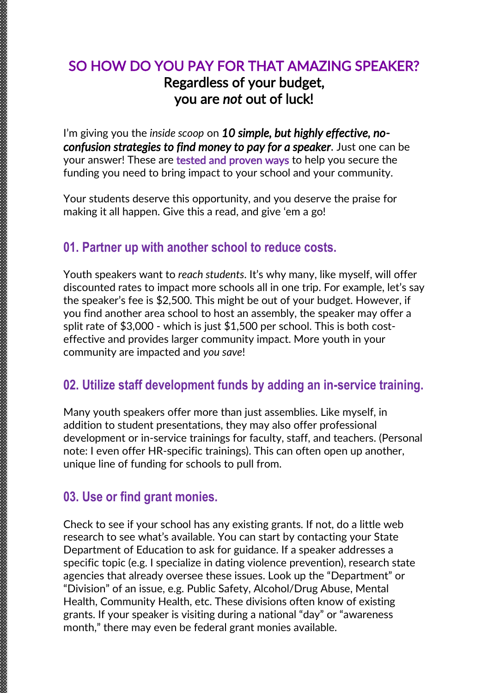# SO HOW DO YOU PAY FOR THAT AMAZING SPEAKER? Regardless of your budget, you are *not* out of luck!

I'm giving you the *inside scoop* on *10 simple, but highly effective, noconfusion strategies to find money to pay for a speaker*. Just one can be your answer! These are tested and proven ways to help you secure the funding you need to bring impact to your school and your community.

Your students deserve this opportunity, and you deserve the praise for making it all happen. Give this a read, and give 'em a go!

#### **01. Partner up with another school to reduce costs.**

Youth speakers want to *reach students*. It's why many, like myself, will offer discounted rates to impact more schools all in one trip. For example, let's say the speaker's fee is \$2,500. This might be out of your budget. However, if you find another area school to host an assembly, the speaker may offer a split rate of \$3,000 - which is just \$1,500 per school. This is both costeffective and provides larger community impact. More youth in your community are impacted and *you save*!

#### **02. Utilize staff development funds by adding an in-service training.**

Many youth speakers offer more than just assemblies. Like myself, in addition to student presentations, they may also offer professional development or in-service trainings for faculty, staff, and teachers. (Personal note: I even offer HR-specific trainings). This can often open up another, unique line of funding for schools to pull from.

#### **03. Use or find grant monies.**

Check to see if your school has any existing grants. If not, do a little web research to see what's available. You can start by contacting your State Department of Education to ask for guidance. If a speaker addresses a specific topic (e.g. I specialize in dating violence prevention), research state agencies that already oversee these issues. Look up the "Department" or "Division" of an issue, e.g. Public Safety, Alcohol/Drug Abuse, Mental Health, Community Health, etc. These divisions often know of existing grants. If your speaker is visiting during a national "day" or "awareness month," there may even be federal grant monies available.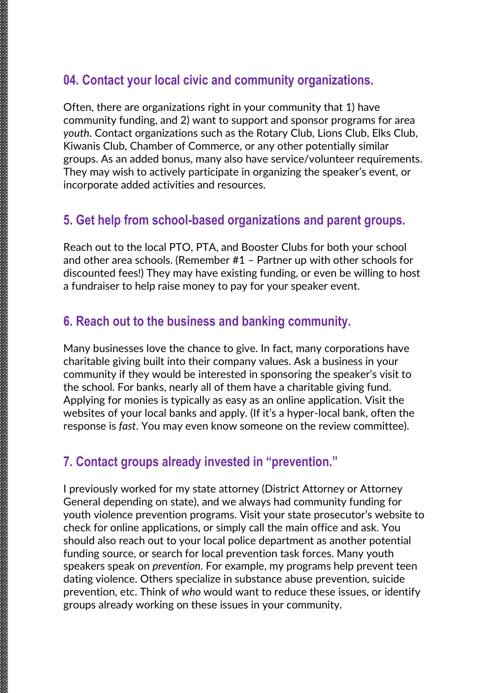#### **04. Contact your local civic and community organizations.**

Often, there are organizations right in your community that 1) have community funding, and 2) want to support and sponsor programs for area *youth*. Contact organizations such as the Rotary Club, Lions Club, Elks Club, Kiwanis Club, Chamber of Commerce, or any other potentially similar groups. As an added bonus, many also have service/volunteer requirements. They may wish to actively participate in organizing the speaker's event, or incorporate added activities and resources.

#### **5. Get help from school-based organizations and parent groups.**

Reach out to the local PTO, PTA, and Booster Clubs for both your school and other area schools. (Remember #1 – Partner up with other schools for discounted fees!) They may have existing funding, or even be willing to host a fundraiser to help raise money to pay for your speaker event.

#### **6. Reach out to the business and banking community.**

Many businesses love the chance to give. In fact, many corporations have charitable giving built into their company values. Ask a business in your community if they would be interested in sponsoring the speaker's visit to the school. For banks, nearly all of them have a charitable giving fund. Applying for monies is typically as easy as an online application. Visit the websites of your local banks and apply. (If it's a hyper-local bank, often the response is *fast*. You may even know someone on the review committee).

#### **7. Contact groups already invested in "prevention."**

I previously worked for my state attorney (District Attorney or Attorney General depending on state), and we always had community funding for youth violence prevention programs. Visit your state prosecutor's website to check for online applications, or simply call the main office and ask. You should also reach out to your local police department as another potential funding source, or search for local prevention task forces. Many youth speakers speak on *prevention*. For example, my programs help prevent teen dating violence. Others specialize in substance abuse prevention, suicide prevention, etc. Think of *who* would want to reduce these issues, or identify groups already working on these issues in your community.